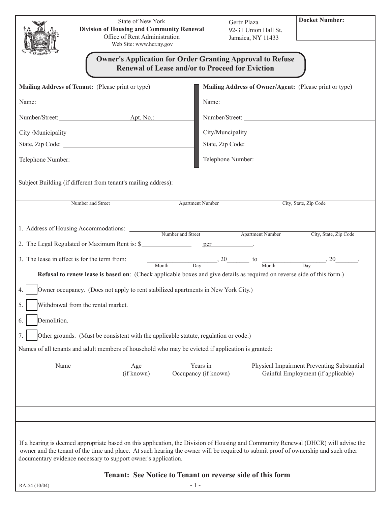| State of New York<br>Division of Housing and Community Renewal<br>Office of Rent Administration<br>Web Site: www.hcr.ny.gov<br><b>Owner's Application for Order Granting Approval to Refuse</b><br>Renewal of Lease and/or to Proceed for Eviction                                                                                                                                                                                                                                                                                  | <b>Docket Number:</b><br>Gertz Plaza<br>92-31 Union Hall St.<br>Jamaica, NY 11433                                    |
|-------------------------------------------------------------------------------------------------------------------------------------------------------------------------------------------------------------------------------------------------------------------------------------------------------------------------------------------------------------------------------------------------------------------------------------------------------------------------------------------------------------------------------------|----------------------------------------------------------------------------------------------------------------------|
| Mailing Address of Tenant: (Please print or type)                                                                                                                                                                                                                                                                                                                                                                                                                                                                                   | Mailing Address of Owner/Agent: (Please print or type)                                                               |
|                                                                                                                                                                                                                                                                                                                                                                                                                                                                                                                                     |                                                                                                                      |
| Number/Street: <u>Apt. No.:</u>                                                                                                                                                                                                                                                                                                                                                                                                                                                                                                     | Number/Street:                                                                                                       |
| City /Municipality                                                                                                                                                                                                                                                                                                                                                                                                                                                                                                                  | City/Muncipality                                                                                                     |
|                                                                                                                                                                                                                                                                                                                                                                                                                                                                                                                                     | State, Zip Code:                                                                                                     |
| Telephone Number:                                                                                                                                                                                                                                                                                                                                                                                                                                                                                                                   |                                                                                                                      |
| Subject Building (if different from tenant's mailing address):<br><b>Apartment Number</b><br>Number and Street<br>City, State, Zip Code                                                                                                                                                                                                                                                                                                                                                                                             |                                                                                                                      |
| 1. Address of Housing Accommodations: Number and Street Apartment Number<br>City, State, Zip Code<br>2. The Legal Regulated or Maximum Rent is: \$<br>$\frac{1}{\sqrt{2}}$ , 20 to $\frac{1}{\sqrt{2}}$ , 20 $\frac{1}{\sqrt{2}}$ , 20 $\frac{1}{\sqrt{2}}$ .<br>3. The lease in effect is for the term from:<br>Refusal to renew lease is based on: (Check applicable boxes and give details as required on reverse side of this form.)<br>Owner occupancy. (Does not apply to rent stabilized apartments in New York City.)<br>4. |                                                                                                                      |
| 5.<br>Withdrawal from the rental market.                                                                                                                                                                                                                                                                                                                                                                                                                                                                                            |                                                                                                                      |
| Demolition.<br>6.                                                                                                                                                                                                                                                                                                                                                                                                                                                                                                                   |                                                                                                                      |
| Other grounds. (Must be consistent with the applicable statute, regulation or code.)<br>7.                                                                                                                                                                                                                                                                                                                                                                                                                                          |                                                                                                                      |
| Names of all tenants and adult members of household who may be evicted if application is granted:                                                                                                                                                                                                                                                                                                                                                                                                                                   |                                                                                                                      |
| Name<br>Age<br>(if known)                                                                                                                                                                                                                                                                                                                                                                                                                                                                                                           | Years in<br>Physical Impairment Preventing Substantial<br>Gainful Employment (if applicable)<br>Occupancy (if known) |
|                                                                                                                                                                                                                                                                                                                                                                                                                                                                                                                                     |                                                                                                                      |
|                                                                                                                                                                                                                                                                                                                                                                                                                                                                                                                                     |                                                                                                                      |
| If a hearing is deemed appropriate based on this application, the Division of Housing and Community Renewal (DHCR) will advise the<br>owner and the tenant of the time and place. At such hearing the owner will be required to submit proof of ownership and such other<br>documentary evidence necessary to support owner's application.                                                                                                                                                                                          |                                                                                                                      |
| Tenant: See Notice to Tenant on reverse side of this form                                                                                                                                                                                                                                                                                                                                                                                                                                                                           |                                                                                                                      |
| - 1 -<br>RA-54 (10/04)                                                                                                                                                                                                                                                                                                                                                                                                                                                                                                              |                                                                                                                      |